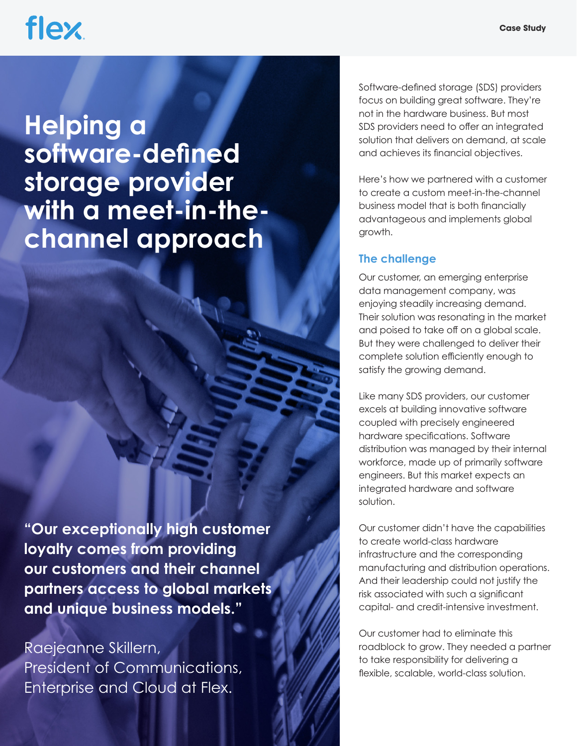## **flex**

### **Helping a software-defined storage provider with a meet-in-thechannel approach**

**"Our exceptionally high customer loyalty comes from providing our customers and their channel partners access to global markets and unique business models."** 

Raejeanne Skillern, President of Communications. Enterprise and Cloud at Flex.

Software-defined storage (SDS) providers focus on building great software. They're not in the hardware business. But most SDS providers need to offer an integrated solution that delivers on demand, at scale and achieves its financial objectives.

Here's how we partnered with a customer to create a custom meet-in-the-channel business model that is both financially advantageous and implements global growth.

### **The challenge**

Our customer, an emerging enterprise data management company, was enjoying steadily increasing demand. Their solution was resonating in the market and poised to take off on a global scale. But they were challenged to deliver their complete solution efficiently enough to satisfy the growing demand.

Like many SDS providers, our customer excels at building innovative software coupled with precisely engineered hardware specifications. Software distribution was managed by their internal workforce, made up of primarily software engineers. But this market expects an integrated hardware and software solution.

Our customer didn't have the capabilities to create world-class hardware infrastructure and the corresponding manufacturing and distribution operations. And their leadership could not justify the risk associated with such a significant capital- and credit-intensive investment.

Our customer had to eliminate this roadblock to grow. They needed a partner to take responsibility for delivering a flexible, scalable, world-class solution.